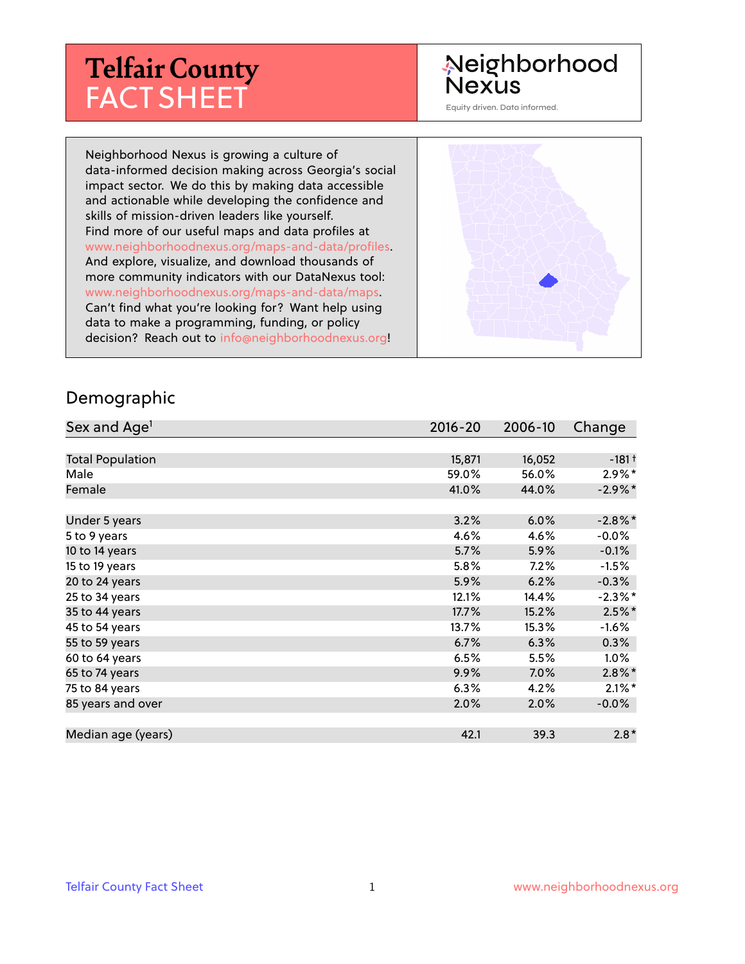# **Telfair County** FACT SHEET

## Neighborhood Nexus

Equity driven. Data informed.

Neighborhood Nexus is growing a culture of data-informed decision making across Georgia's social impact sector. We do this by making data accessible and actionable while developing the confidence and skills of mission-driven leaders like yourself. Find more of our useful maps and data profiles at www.neighborhoodnexus.org/maps-and-data/profiles. And explore, visualize, and download thousands of more community indicators with our DataNexus tool: www.neighborhoodnexus.org/maps-and-data/maps. Can't find what you're looking for? Want help using data to make a programming, funding, or policy decision? Reach out to [info@neighborhoodnexus.org!](mailto:info@neighborhoodnexus.org)



#### Demographic

| Sex and Age <sup>1</sup> | $2016 - 20$ | 2006-10 | Change     |
|--------------------------|-------------|---------|------------|
|                          |             |         |            |
| <b>Total Population</b>  | 15,871      | 16,052  | $-181+$    |
| Male                     | 59.0%       | 56.0%   | $2.9\%*$   |
| Female                   | 41.0%       | 44.0%   | $-2.9\%$ * |
|                          |             |         |            |
| Under 5 years            | 3.2%        | 6.0%    | $-2.8\%$ * |
| 5 to 9 years             | 4.6%        | 4.6%    | $-0.0\%$   |
| 10 to 14 years           | 5.7%        | 5.9%    | $-0.1%$    |
| 15 to 19 years           | 5.8%        | 7.2%    | $-1.5%$    |
| 20 to 24 years           | 5.9%        | 6.2%    | $-0.3%$    |
| 25 to 34 years           | 12.1%       | 14.4%   | $-2.3\%$ * |
| 35 to 44 years           | 17.7%       | 15.2%   | $2.5%$ *   |
| 45 to 54 years           | 13.7%       | 15.3%   | $-1.6\%$   |
| 55 to 59 years           | 6.7%        | 6.3%    | 0.3%       |
| 60 to 64 years           | 6.5%        | 5.5%    | 1.0%       |
| 65 to 74 years           | 9.9%        | 7.0%    | $2.8\%$ *  |
| 75 to 84 years           | 6.3%        | 4.2%    | $2.1\%$ *  |
| 85 years and over        | 2.0%        | 2.0%    | $-0.0\%$   |
|                          |             |         |            |
| Median age (years)       | 42.1        | 39.3    | $2.8*$     |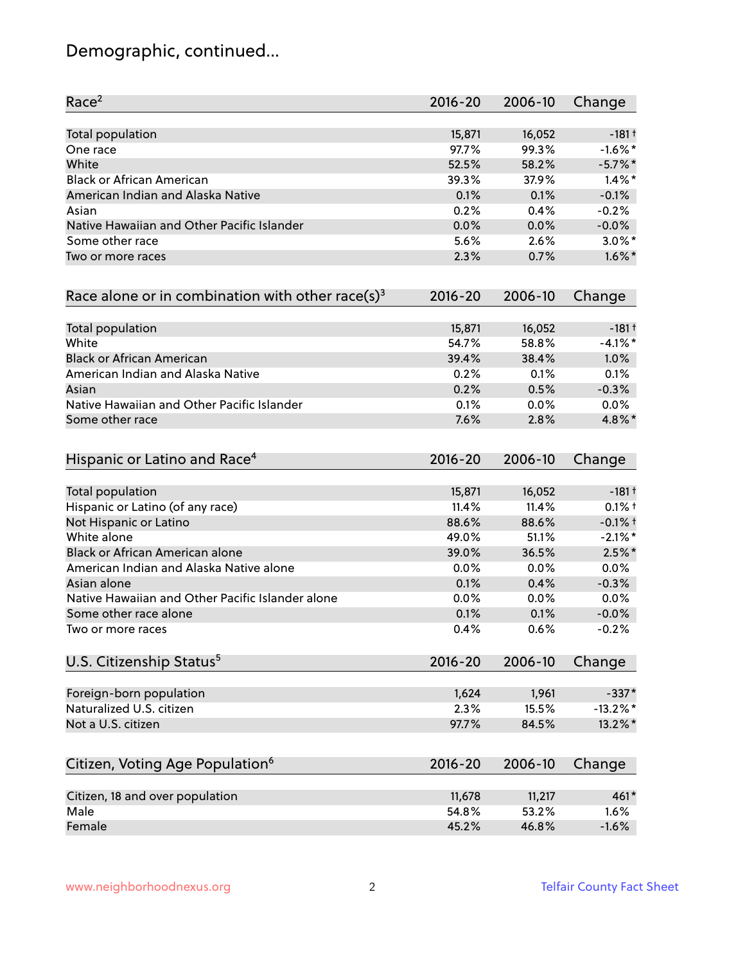# Demographic, continued...

| Race <sup>2</sup>                                   | $2016 - 20$ | 2006-10 | Change      |
|-----------------------------------------------------|-------------|---------|-------------|
| <b>Total population</b>                             | 15,871      | 16,052  | $-181+$     |
| One race                                            | 97.7%       | 99.3%   | $-1.6\%$ *  |
| White                                               | 52.5%       | 58.2%   | $-5.7\%$ *  |
| <b>Black or African American</b>                    | 39.3%       | 37.9%   | $1.4\%$ *   |
| American Indian and Alaska Native                   | 0.1%        | 0.1%    | $-0.1%$     |
| Asian                                               | 0.2%        | 0.4%    | $-0.2%$     |
| Native Hawaiian and Other Pacific Islander          | 0.0%        | 0.0%    | $-0.0%$     |
| Some other race                                     | 5.6%        | 2.6%    | $3.0\%$ *   |
| Two or more races                                   | 2.3%        | 0.7%    | $1.6\%$ *   |
| Race alone or in combination with other race(s) $3$ | $2016 - 20$ | 2006-10 | Change      |
| Total population                                    | 15,871      | 16,052  | $-181+$     |
| White                                               | 54.7%       | 58.8%   | $-4.1%$ *   |
| <b>Black or African American</b>                    | 39.4%       | 38.4%   | 1.0%        |
| American Indian and Alaska Native                   | 0.2%        | 0.1%    | 0.1%        |
| Asian                                               | 0.2%        | 0.5%    | $-0.3%$     |
| Native Hawaiian and Other Pacific Islander          | 0.1%        | 0.0%    | 0.0%        |
| Some other race                                     | 7.6%        | 2.8%    | 4.8%*       |
| Hispanic or Latino and Race <sup>4</sup>            | $2016 - 20$ | 2006-10 | Change      |
| <b>Total population</b>                             | 15,871      | 16,052  | $-181+$     |
| Hispanic or Latino (of any race)                    | 11.4%       | 11.4%   | $0.1%$ †    |
| Not Hispanic or Latino                              | 88.6%       | 88.6%   | $-0.1%$ †   |
| White alone                                         | 49.0%       | 51.1%   | $-2.1\%$ *  |
| Black or African American alone                     | 39.0%       | 36.5%   | $2.5%$ *    |
| American Indian and Alaska Native alone             | 0.0%        | 0.0%    | 0.0%        |
| Asian alone                                         | 0.1%        | 0.4%    | $-0.3%$     |
| Native Hawaiian and Other Pacific Islander alone    | 0.0%        | 0.0%    | 0.0%        |
| Some other race alone                               | 0.1%        | 0.1%    | $-0.0%$     |
| Two or more races                                   | 0.4%        | 0.6%    | $-0.2%$     |
| U.S. Citizenship Status <sup>5</sup>                | $2016 - 20$ | 2006-10 | Change      |
| Foreign-born population                             | 1,624       | 1,961   | $-337*$     |
| Naturalized U.S. citizen                            | 2.3%        | 15.5%   | $-13.2\%$ * |
| Not a U.S. citizen                                  | 97.7%       | 84.5%   | 13.2%*      |
|                                                     |             |         |             |
| Citizen, Voting Age Population <sup>6</sup>         | $2016 - 20$ | 2006-10 | Change      |
| Citizen, 18 and over population                     | 11,678      | 11,217  | 461*        |
| Male                                                | 54.8%       | 53.2%   | 1.6%        |
| Female                                              | 45.2%       | 46.8%   | $-1.6%$     |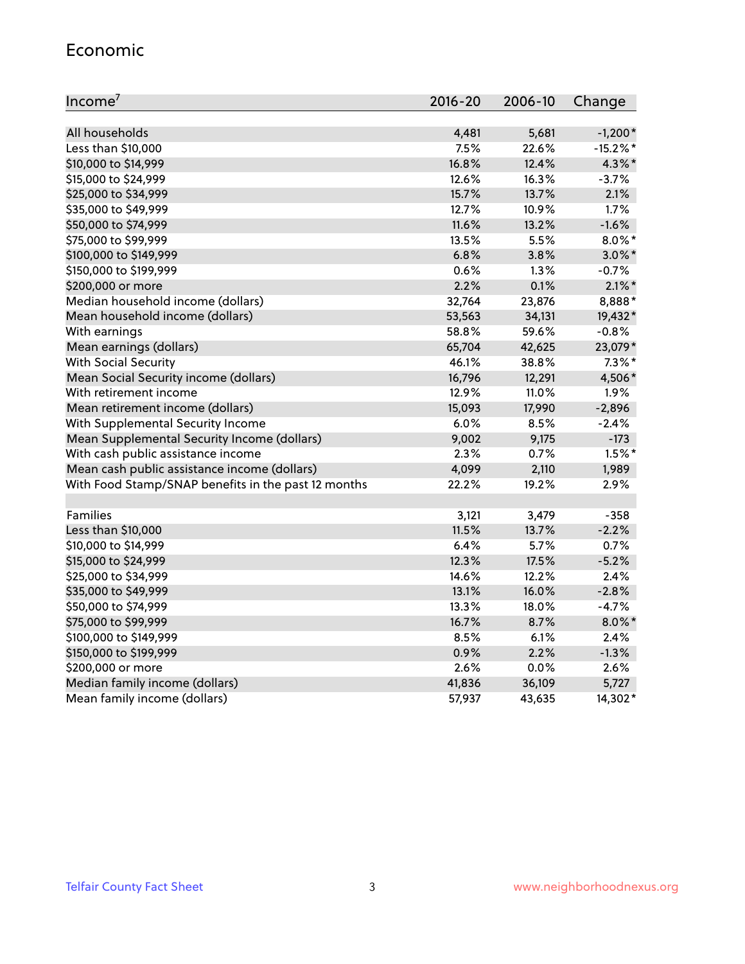#### Economic

| Income <sup>7</sup>                                 | 2016-20 | 2006-10 | Change      |
|-----------------------------------------------------|---------|---------|-------------|
|                                                     |         |         |             |
| All households                                      | 4,481   | 5,681   | $-1,200*$   |
| Less than \$10,000                                  | 7.5%    | 22.6%   | $-15.2\%$ * |
| \$10,000 to \$14,999                                | 16.8%   | 12.4%   | 4.3%*       |
| \$15,000 to \$24,999                                | 12.6%   | 16.3%   | $-3.7%$     |
| \$25,000 to \$34,999                                | 15.7%   | 13.7%   | 2.1%        |
| \$35,000 to \$49,999                                | 12.7%   | 10.9%   | 1.7%        |
| \$50,000 to \$74,999                                | 11.6%   | 13.2%   | $-1.6%$     |
| \$75,000 to \$99,999                                | 13.5%   | 5.5%    | $8.0\%$ *   |
| \$100,000 to \$149,999                              | 6.8%    | 3.8%    | $3.0\%$ *   |
| \$150,000 to \$199,999                              | 0.6%    | 1.3%    | $-0.7%$     |
| \$200,000 or more                                   | 2.2%    | 0.1%    | $2.1\%$ *   |
| Median household income (dollars)                   | 32,764  | 23,876  | 8,888*      |
| Mean household income (dollars)                     | 53,563  | 34,131  | 19,432*     |
| With earnings                                       | 58.8%   | 59.6%   | $-0.8%$     |
| Mean earnings (dollars)                             | 65,704  | 42,625  | 23,079*     |
| <b>With Social Security</b>                         | 46.1%   | 38.8%   | $7.3\%$ *   |
| Mean Social Security income (dollars)               | 16,796  | 12,291  | 4,506*      |
| With retirement income                              | 12.9%   | 11.0%   | 1.9%        |
| Mean retirement income (dollars)                    | 15,093  | 17,990  | $-2,896$    |
| With Supplemental Security Income                   | 6.0%    | 8.5%    | $-2.4%$     |
| Mean Supplemental Security Income (dollars)         | 9,002   | 9,175   | $-173$      |
| With cash public assistance income                  | 2.3%    | 0.7%    | $1.5%$ *    |
| Mean cash public assistance income (dollars)        | 4,099   | 2,110   | 1,989       |
| With Food Stamp/SNAP benefits in the past 12 months | 22.2%   | 19.2%   | 2.9%        |
|                                                     |         |         |             |
| Families                                            | 3,121   | 3,479   | $-358$      |
| Less than \$10,000                                  | 11.5%   | 13.7%   | $-2.2%$     |
| \$10,000 to \$14,999                                | 6.4%    | 5.7%    | 0.7%        |
| \$15,000 to \$24,999                                | 12.3%   | 17.5%   | $-5.2%$     |
| \$25,000 to \$34,999                                | 14.6%   | 12.2%   | 2.4%        |
| \$35,000 to \$49,999                                | 13.1%   | 16.0%   | $-2.8%$     |
| \$50,000 to \$74,999                                | 13.3%   | 18.0%   | $-4.7%$     |
| \$75,000 to \$99,999                                | 16.7%   | 8.7%    | $8.0\%$ *   |
| \$100,000 to \$149,999                              | 8.5%    | $6.1\%$ | 2.4%        |
| \$150,000 to \$199,999                              | 0.9%    | 2.2%    | $-1.3%$     |
| \$200,000 or more                                   | 2.6%    | 0.0%    | 2.6%        |
| Median family income (dollars)                      | 41,836  | 36,109  | 5,727       |
| Mean family income (dollars)                        | 57,937  | 43,635  | $14,302*$   |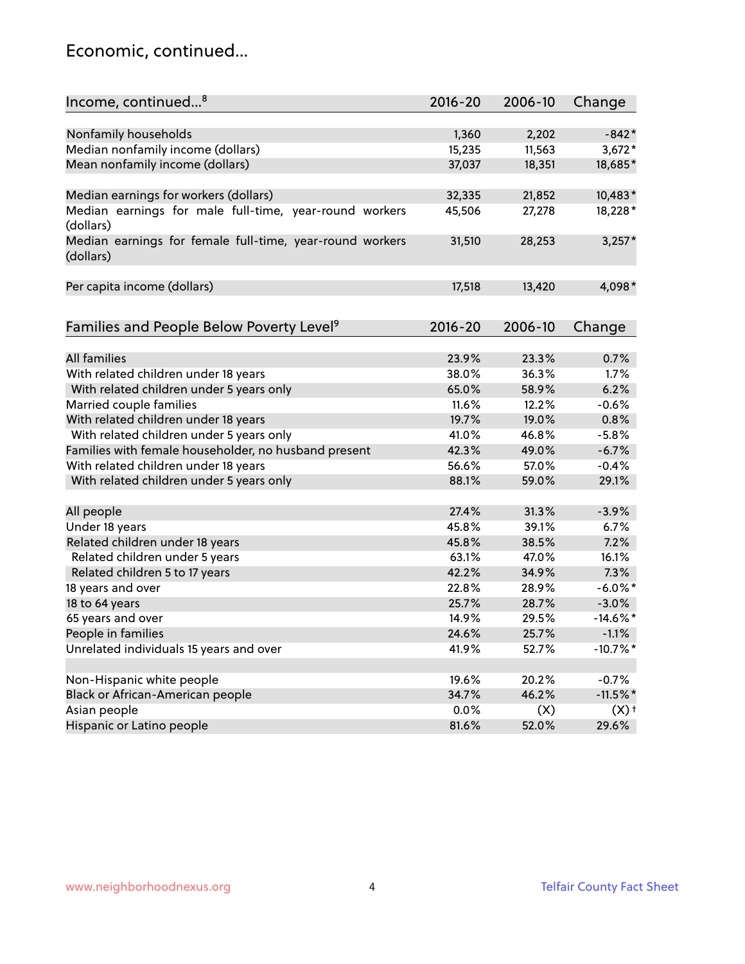### Economic, continued...

| Income, continued <sup>8</sup>                                        | $2016 - 20$ | 2006-10 | Change             |
|-----------------------------------------------------------------------|-------------|---------|--------------------|
|                                                                       |             |         |                    |
| Nonfamily households                                                  | 1,360       | 2,202   | $-842*$            |
| Median nonfamily income (dollars)                                     | 15,235      | 11,563  | $3,672*$           |
| Mean nonfamily income (dollars)                                       | 37,037      | 18,351  | 18,685*            |
| Median earnings for workers (dollars)                                 | 32,335      | 21,852  | 10,483*            |
| Median earnings for male full-time, year-round workers<br>(dollars)   | 45,506      | 27,278  | 18,228*            |
| Median earnings for female full-time, year-round workers<br>(dollars) | 31,510      | 28,253  | $3,257*$           |
| Per capita income (dollars)                                           | 17,518      | 13,420  | 4,098*             |
|                                                                       | $2016 - 20$ |         |                    |
| Families and People Below Poverty Level <sup>9</sup>                  |             | 2006-10 | Change             |
| <b>All families</b>                                                   | 23.9%       | 23.3%   | 0.7%               |
| With related children under 18 years                                  | 38.0%       | 36.3%   | 1.7%               |
| With related children under 5 years only                              | 65.0%       | 58.9%   | 6.2%               |
| Married couple families                                               | 11.6%       | 12.2%   | $-0.6%$            |
| With related children under 18 years                                  | 19.7%       | 19.0%   | 0.8%               |
| With related children under 5 years only                              | 41.0%       | 46.8%   | $-5.8%$            |
| Families with female householder, no husband present                  | 42.3%       | 49.0%   | $-6.7%$            |
| With related children under 18 years                                  | 56.6%       | 57.0%   | $-0.4%$            |
| With related children under 5 years only                              | 88.1%       | 59.0%   | 29.1%              |
|                                                                       |             |         |                    |
| All people                                                            | 27.4%       | 31.3%   | $-3.9%$            |
| Under 18 years                                                        | 45.8%       | 39.1%   | 6.7%               |
| Related children under 18 years                                       | 45.8%       | 38.5%   | 7.2%               |
| Related children under 5 years                                        | 63.1%       | 47.0%   | 16.1%              |
| Related children 5 to 17 years                                        | 42.2%       | 34.9%   | 7.3%               |
| 18 years and over                                                     | 22.8%       | 28.9%   | $-6.0\%$ *         |
| 18 to 64 years                                                        | 25.7%       | 28.7%   | $-3.0%$            |
| 65 years and over                                                     | 14.9%       | 29.5%   | $-14.6\%$ *        |
| People in families                                                    | 24.6%       | 25.7%   | $-1.1%$            |
| Unrelated individuals 15 years and over                               | 41.9%       | 52.7%   | $-10.7%$ *         |
|                                                                       |             |         |                    |
| Non-Hispanic white people                                             | 19.6%       | 20.2%   | $-0.7%$            |
| Black or African-American people                                      | 34.7%       | 46.2%   | $-11.5%$ *         |
| Asian people                                                          | $0.0\%$     | (X)     | $(X)$ <sup>+</sup> |
| Hispanic or Latino people                                             | 81.6%       | 52.0%   | 29.6%              |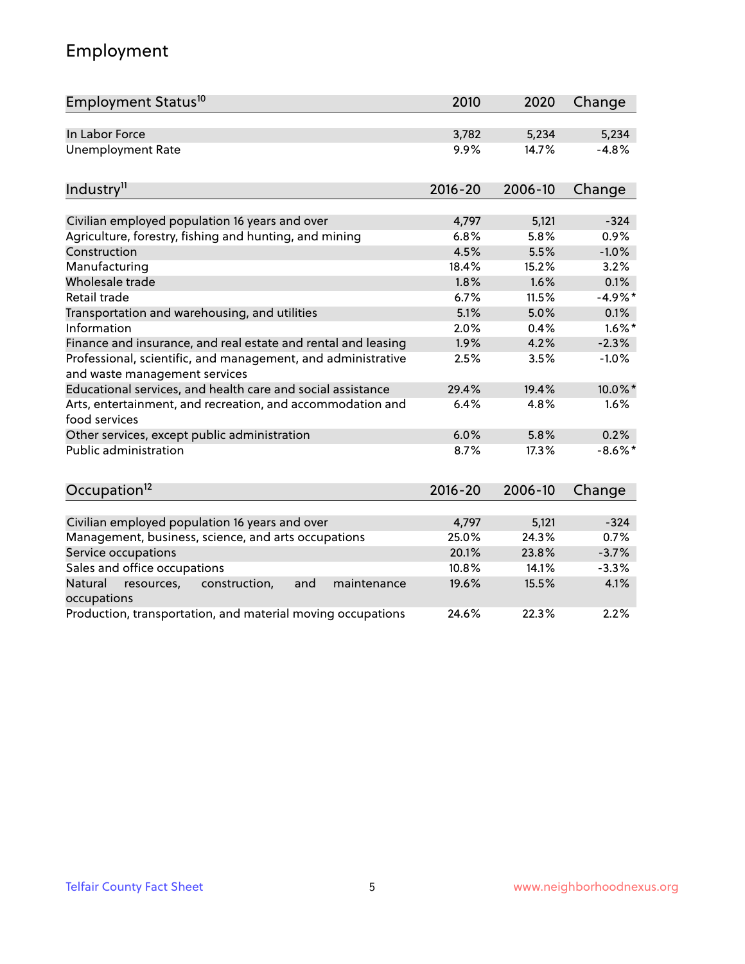# Employment

| Employment Status <sup>10</sup>                                                               | 2010        | 2020    | Change     |
|-----------------------------------------------------------------------------------------------|-------------|---------|------------|
| In Labor Force                                                                                | 3,782       | 5,234   | 5,234      |
| <b>Unemployment Rate</b>                                                                      | 9.9%        | 14.7%   | $-4.8%$    |
| Industry <sup>11</sup>                                                                        | $2016 - 20$ | 2006-10 | Change     |
|                                                                                               |             |         |            |
| Civilian employed population 16 years and over                                                | 4,797       | 5,121   | $-324$     |
| Agriculture, forestry, fishing and hunting, and mining                                        | 6.8%        | 5.8%    | 0.9%       |
| Construction                                                                                  | 4.5%        | 5.5%    | $-1.0%$    |
| Manufacturing                                                                                 | 18.4%       | 15.2%   | 3.2%       |
| Wholesale trade                                                                               | 1.8%        | 1.6%    | 0.1%       |
| Retail trade                                                                                  | 6.7%        | 11.5%   | $-4.9%$ *  |
| Transportation and warehousing, and utilities                                                 | 5.1%        | 5.0%    | 0.1%       |
| Information                                                                                   | 2.0%        | 0.4%    | $1.6\%$ *  |
| Finance and insurance, and real estate and rental and leasing                                 | 1.9%        | 4.2%    | $-2.3%$    |
| Professional, scientific, and management, and administrative<br>and waste management services | 2.5%        | 3.5%    | $-1.0%$    |
| Educational services, and health care and social assistance                                   | 29.4%       | 19.4%   | 10.0%*     |
| Arts, entertainment, and recreation, and accommodation and<br>food services                   | 6.4%        | 4.8%    | 1.6%       |
| Other services, except public administration                                                  | 6.0%        | 5.8%    | 0.2%       |
| <b>Public administration</b>                                                                  | 8.7%        | 17.3%   | $-8.6\%$ * |
| Occupation <sup>12</sup>                                                                      | $2016 - 20$ | 2006-10 | Change     |
|                                                                                               |             |         |            |
| Civilian employed population 16 years and over                                                | 4,797       | 5,121   | $-324$     |
| Management, business, science, and arts occupations                                           | 25.0%       | 24.3%   | 0.7%       |
| Service occupations                                                                           | 20.1%       | 23.8%   | $-3.7%$    |
| Sales and office occupations                                                                  | 10.8%       | 14.1%   | $-3.3%$    |
| Natural<br>resources,<br>construction,<br>and<br>maintenance<br>occupations                   | 19.6%       | 15.5%   | 4.1%       |
| Production, transportation, and material moving occupations                                   | 24.6%       | 22.3%   | 2.2%       |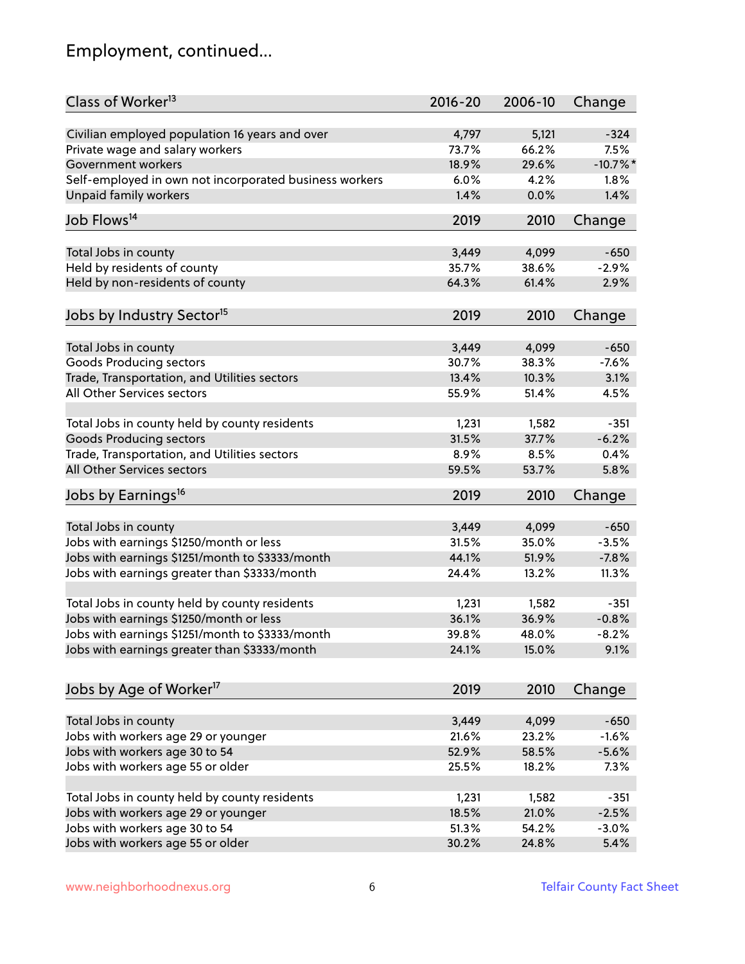# Employment, continued...

| Class of Worker <sup>13</sup>                          | $2016 - 20$ | 2006-10 | Change      |
|--------------------------------------------------------|-------------|---------|-------------|
| Civilian employed population 16 years and over         | 4,797       | 5,121   | $-324$      |
| Private wage and salary workers                        | 73.7%       | 66.2%   | 7.5%        |
| Government workers                                     | 18.9%       | 29.6%   | $-10.7\%$ * |
| Self-employed in own not incorporated business workers | 6.0%        | 4.2%    | 1.8%        |
| <b>Unpaid family workers</b>                           | 1.4%        | 0.0%    | 1.4%        |
|                                                        |             |         |             |
| Job Flows <sup>14</sup>                                | 2019        | 2010    | Change      |
| Total Jobs in county                                   | 3,449       | 4,099   | $-650$      |
| Held by residents of county                            | 35.7%       | 38.6%   | $-2.9%$     |
| Held by non-residents of county                        | 64.3%       | 61.4%   | 2.9%        |
|                                                        |             |         |             |
| Jobs by Industry Sector <sup>15</sup>                  | 2019        | 2010    | Change      |
| Total Jobs in county                                   | 3,449       | 4,099   | $-650$      |
| Goods Producing sectors                                | 30.7%       | 38.3%   | $-7.6%$     |
| Trade, Transportation, and Utilities sectors           | 13.4%       | 10.3%   | 3.1%        |
| All Other Services sectors                             | 55.9%       | 51.4%   | 4.5%        |
|                                                        |             |         |             |
| Total Jobs in county held by county residents          | 1,231       | 1,582   | $-351$      |
| <b>Goods Producing sectors</b>                         | 31.5%       | 37.7%   | $-6.2%$     |
| Trade, Transportation, and Utilities sectors           | 8.9%        | 8.5%    | 0.4%        |
| All Other Services sectors                             | 59.5%       | 53.7%   | 5.8%        |
| Jobs by Earnings <sup>16</sup>                         | 2019        | 2010    | Change      |
|                                                        |             |         |             |
| Total Jobs in county                                   | 3,449       | 4,099   | $-650$      |
| Jobs with earnings \$1250/month or less                | 31.5%       | 35.0%   | $-3.5%$     |
| Jobs with earnings \$1251/month to \$3333/month        | 44.1%       | 51.9%   | $-7.8%$     |
| Jobs with earnings greater than \$3333/month           | 24.4%       | 13.2%   | 11.3%       |
| Total Jobs in county held by county residents          | 1,231       | 1,582   | $-351$      |
| Jobs with earnings \$1250/month or less                | 36.1%       | 36.9%   | $-0.8%$     |
| Jobs with earnings \$1251/month to \$3333/month        | 39.8%       | 48.0%   | $-8.2%$     |
| Jobs with earnings greater than \$3333/month           | 24.1%       | 15.0%   | 9.1%        |
|                                                        |             |         |             |
| Jobs by Age of Worker <sup>17</sup>                    | 2019        | 2010    | Change      |
| Total Jobs in county                                   | 3,449       | 4,099   | $-650$      |
| Jobs with workers age 29 or younger                    | 21.6%       | 23.2%   | $-1.6%$     |
| Jobs with workers age 30 to 54                         | 52.9%       | 58.5%   | $-5.6%$     |
| Jobs with workers age 55 or older                      | 25.5%       | 18.2%   | 7.3%        |
|                                                        |             |         |             |
| Total Jobs in county held by county residents          | 1,231       | 1,582   | $-351$      |
| Jobs with workers age 29 or younger                    | 18.5%       | 21.0%   | $-2.5%$     |
| Jobs with workers age 30 to 54                         | 51.3%       | 54.2%   | $-3.0%$     |
| Jobs with workers age 55 or older                      | 30.2%       | 24.8%   | 5.4%        |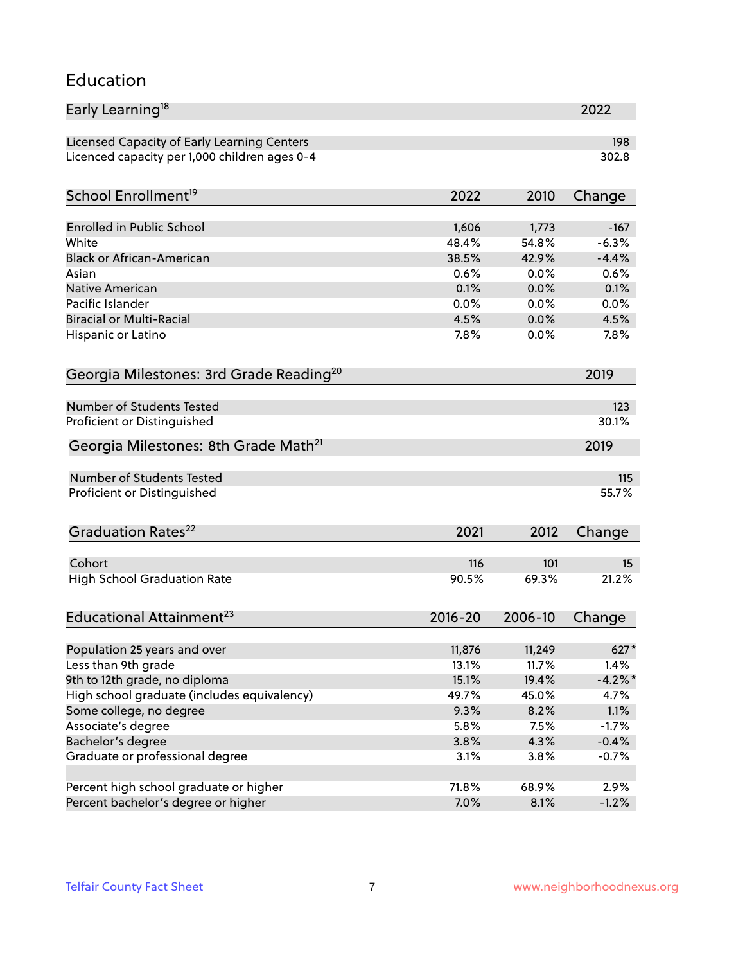#### Education

| Early Learning <sup>18</sup>                        |                 |                 | 2022         |
|-----------------------------------------------------|-----------------|-----------------|--------------|
| Licensed Capacity of Early Learning Centers         |                 |                 | 198          |
| Licenced capacity per 1,000 children ages 0-4       |                 |                 | 302.8        |
| School Enrollment <sup>19</sup>                     | 2022            | 2010            | Change       |
|                                                     |                 |                 |              |
| <b>Enrolled in Public School</b>                    | 1,606           | 1,773           | $-167$       |
| White<br><b>Black or African-American</b>           | 48.4%           | 54.8%           | $-6.3%$      |
|                                                     | 38.5%           | 42.9%           | $-4.4%$      |
| Asian                                               | 0.6%            | 0.0%            | 0.6%         |
| <b>Native American</b><br>Pacific Islander          | 0.1%<br>0.0%    | 0.0%            | 0.1%         |
| <b>Biracial or Multi-Racial</b>                     | 4.5%            | 0.0%<br>0.0%    | 0.0%<br>4.5% |
|                                                     |                 | 0.0%            |              |
| Hispanic or Latino                                  | 7.8%            |                 | 7.8%         |
| Georgia Milestones: 3rd Grade Reading <sup>20</sup> |                 |                 | 2019         |
| <b>Number of Students Tested</b>                    |                 |                 | 123          |
| Proficient or Distinguished                         |                 |                 | 30.1%        |
| Georgia Milestones: 8th Grade Math <sup>21</sup>    |                 |                 | 2019         |
|                                                     |                 |                 |              |
| <b>Number of Students Tested</b>                    |                 |                 | 115          |
| Proficient or Distinguished                         |                 |                 | 55.7%        |
| Graduation Rates <sup>22</sup>                      | 2021            | 2012            | Change       |
|                                                     |                 |                 |              |
| Cohort                                              | 116             | 101             | 15           |
| <b>High School Graduation Rate</b>                  | 90.5%           | 69.3%           | 21.2%        |
| Educational Attainment <sup>23</sup>                | $2016 - 20$     | 2006-10         | Change       |
|                                                     |                 |                 |              |
| Population 25 years and over                        | 11,876<br>13.1% | 11,249<br>11.7% | 627*<br>1.4% |
| Less than 9th grade                                 | 15.1%           | 19.4%           |              |
| 9th to 12th grade, no diploma                       |                 |                 | $-4.2\%$ *   |
| High school graduate (includes equivalency)         | 49.7%           | 45.0%           | 4.7%         |
| Some college, no degree                             | 9.3%            | 8.2%            | 1.1%         |
| Associate's degree                                  | 5.8%            | 7.5%            | $-1.7%$      |
| Bachelor's degree                                   | 3.8%            | 4.3%            | $-0.4%$      |
| Graduate or professional degree                     | 3.1%            | 3.8%            | $-0.7%$      |
| Percent high school graduate or higher              | 71.8%           | 68.9%           | 2.9%         |
| Percent bachelor's degree or higher                 | 7.0%            | 8.1%            | $-1.2%$      |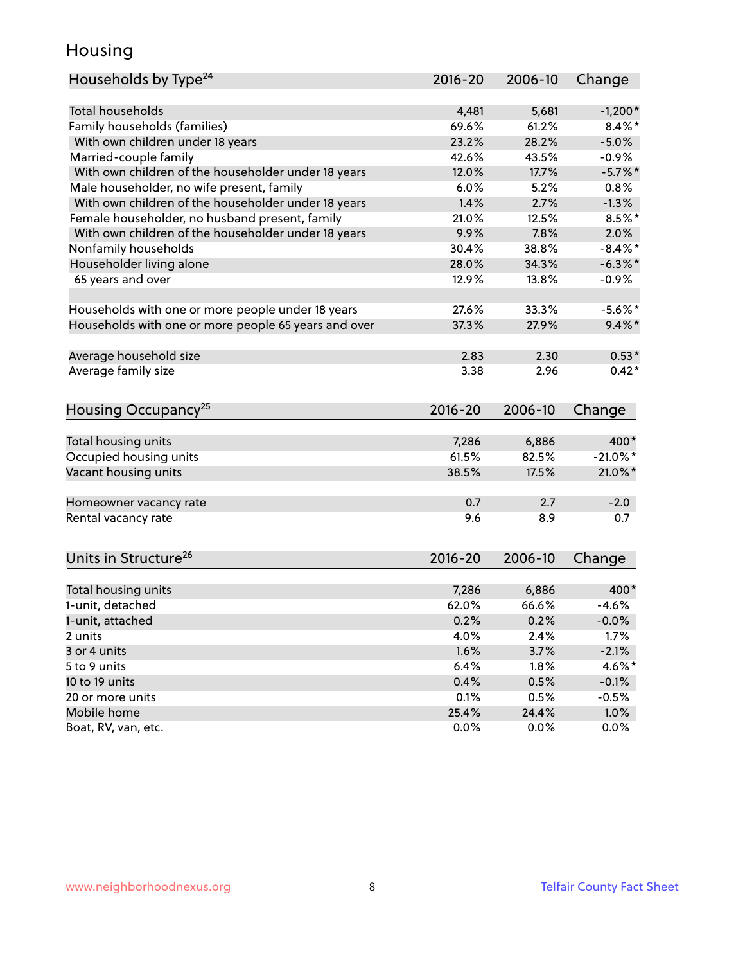### Housing

| Households by Type <sup>24</sup>                     | 2016-20     | 2006-10 | Change      |
|------------------------------------------------------|-------------|---------|-------------|
|                                                      |             |         |             |
| <b>Total households</b>                              | 4,481       | 5,681   | $-1,200*$   |
| Family households (families)                         | 69.6%       | 61.2%   | $8.4\%$ *   |
| With own children under 18 years                     | 23.2%       | 28.2%   | $-5.0%$     |
| Married-couple family                                | 42.6%       | 43.5%   | $-0.9%$     |
| With own children of the householder under 18 years  | 12.0%       | 17.7%   | $-5.7\%$ *  |
| Male householder, no wife present, family            | 6.0%        | 5.2%    | 0.8%        |
| With own children of the householder under 18 years  | 1.4%        | 2.7%    | $-1.3%$     |
| Female householder, no husband present, family       | 21.0%       | 12.5%   | $8.5\%$ *   |
| With own children of the householder under 18 years  | 9.9%        | 7.8%    | 2.0%        |
| Nonfamily households                                 | 30.4%       | 38.8%   | $-8.4\%$ *  |
| Householder living alone                             | 28.0%       | 34.3%   | $-6.3\%$ *  |
| 65 years and over                                    | 12.9%       | 13.8%   | $-0.9%$     |
| Households with one or more people under 18 years    | 27.6%       | 33.3%   | $-5.6\%$ *  |
| Households with one or more people 65 years and over | 37.3%       | 27.9%   | $9.4\%$ *   |
|                                                      |             |         |             |
| Average household size                               | 2.83        | 2.30    | $0.53*$     |
| Average family size                                  | 3.38        | 2.96    | $0.42*$     |
| Housing Occupancy <sup>25</sup>                      | $2016 - 20$ | 2006-10 | Change      |
| Total housing units                                  | 7,286       | 6,886   | 400*        |
| Occupied housing units                               | 61.5%       | 82.5%   | $-21.0\%$ * |
| Vacant housing units                                 | 38.5%       | 17.5%   | 21.0%*      |
|                                                      |             |         |             |
| Homeowner vacancy rate                               | 0.7         | 2.7     | $-2.0$      |
| Rental vacancy rate                                  | 9.6         | 8.9     | 0.7         |
| Units in Structure <sup>26</sup>                     | $2016 - 20$ | 2006-10 | Change      |
|                                                      |             |         | 400*        |
| Total housing units                                  | 7,286       | 6,886   | $-4.6%$     |
| 1-unit, detached                                     | 62.0%       | 66.6%   |             |
| 1-unit, attached                                     | 0.2%        | 0.2%    | $-0.0%$     |
| 2 units                                              | 4.0%        | 2.4%    | 1.7%        |
| 3 or 4 units                                         | 1.6%        | 3.7%    | $-2.1%$     |
| 5 to 9 units                                         | 6.4%        | 1.8%    | 4.6%*       |
| 10 to 19 units                                       | 0.4%        | 0.5%    | $-0.1%$     |
| 20 or more units                                     | 0.1%        | 0.5%    | $-0.5%$     |
| Mobile home                                          | 25.4%       | 24.4%   | 1.0%        |
| Boat, RV, van, etc.                                  | 0.0%        | 0.0%    | $0.0\%$     |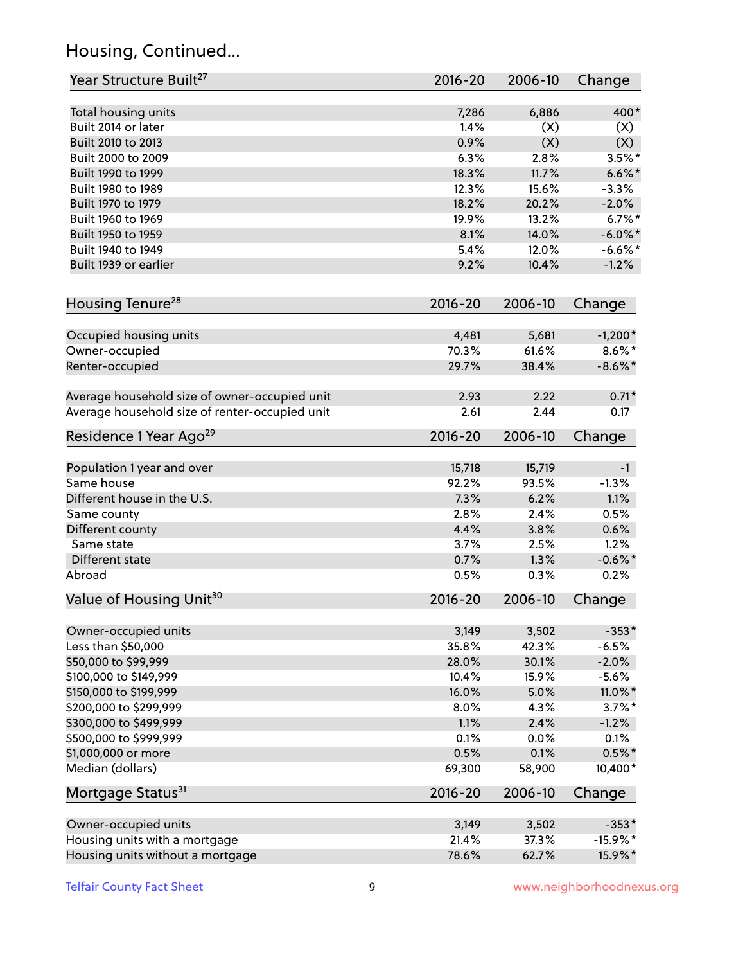# Housing, Continued...

| Year Structure Built <sup>27</sup>             | 2016-20     | 2006-10 | Change      |
|------------------------------------------------|-------------|---------|-------------|
| Total housing units                            | 7,286       | 6,886   | 400*        |
| Built 2014 or later                            | 1.4%        | (X)     | (X)         |
| Built 2010 to 2013                             | 0.9%        | (X)     | (X)         |
| Built 2000 to 2009                             | 6.3%        | 2.8%    | $3.5%$ *    |
| Built 1990 to 1999                             | 18.3%       | 11.7%   | $6.6\%$ *   |
| Built 1980 to 1989                             | 12.3%       | 15.6%   | $-3.3%$     |
| Built 1970 to 1979                             | 18.2%       | 20.2%   | $-2.0%$     |
| Built 1960 to 1969                             | 19.9%       | 13.2%   | $6.7%$ *    |
| Built 1950 to 1959                             | 8.1%        | 14.0%   | $-6.0\%$ *  |
| Built 1940 to 1949                             | 5.4%        | 12.0%   | $-6.6\%$ *  |
| Built 1939 or earlier                          | 9.2%        | 10.4%   | $-1.2%$     |
| Housing Tenure <sup>28</sup>                   | $2016 - 20$ | 2006-10 | Change      |
| Occupied housing units                         | 4,481       | 5,681   | $-1,200*$   |
| Owner-occupied                                 | 70.3%       | 61.6%   | $8.6\%$ *   |
| Renter-occupied                                | 29.7%       | 38.4%   | $-8.6\%$ *  |
| Average household size of owner-occupied unit  | 2.93        | 2.22    | $0.71*$     |
| Average household size of renter-occupied unit | 2.61        | 2.44    | 0.17        |
| Residence 1 Year Ago <sup>29</sup>             | $2016 - 20$ | 2006-10 | Change      |
| Population 1 year and over                     | 15,718      | 15,719  | $-1$        |
| Same house                                     | 92.2%       | 93.5%   | $-1.3%$     |
| Different house in the U.S.                    | 7.3%        | 6.2%    | 1.1%        |
| Same county                                    | 2.8%        | 2.4%    | 0.5%        |
| Different county                               | 4.4%        | 3.8%    | 0.6%        |
| Same state                                     | 3.7%        | 2.5%    | 1.2%        |
| Different state                                | 0.7%        | 1.3%    | $-0.6%$ *   |
| Abroad                                         | 0.5%        | 0.3%    | 0.2%        |
| Value of Housing Unit <sup>30</sup>            | $2016 - 20$ | 2006-10 | Change      |
| Owner-occupied units                           | 3,149       | 3,502   | $-353*$     |
| Less than \$50,000                             | 35.8%       | 42.3%   | $-6.5%$     |
| \$50,000 to \$99,999                           | 28.0%       | 30.1%   | $-2.0%$     |
| \$100,000 to \$149,999                         | 10.4%       | 15.9%   | $-5.6%$     |
| \$150,000 to \$199,999                         | 16.0%       | 5.0%    | 11.0%*      |
| \$200,000 to \$299,999                         | 8.0%        | 4.3%    | $3.7\%$ *   |
| \$300,000 to \$499,999                         | 1.1%        | 2.4%    | $-1.2%$     |
| \$500,000 to \$999,999                         | 0.1%        | 0.0%    | 0.1%        |
| \$1,000,000 or more                            | 0.5%        | 0.1%    | $0.5\%$ *   |
| Median (dollars)                               | 69,300      | 58,900  | 10,400*     |
| Mortgage Status <sup>31</sup>                  | $2016 - 20$ | 2006-10 | Change      |
| Owner-occupied units                           | 3,149       | 3,502   | $-353*$     |
| Housing units with a mortgage                  | 21.4%       | 37.3%   | $-15.9\%$ * |
| Housing units without a mortgage               | 78.6%       | 62.7%   | 15.9%*      |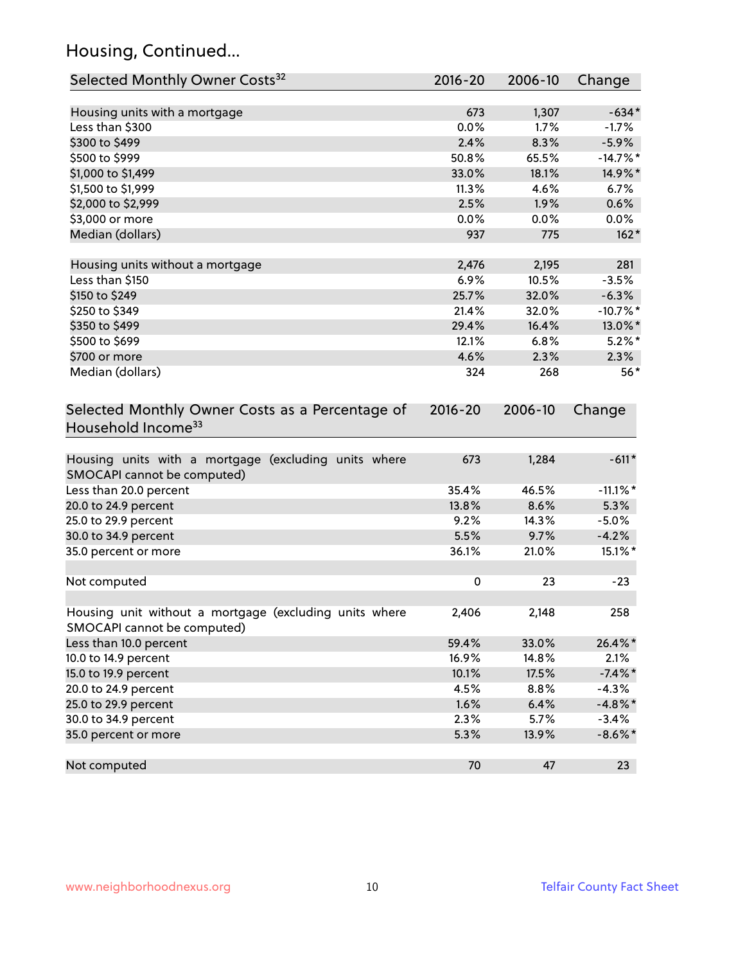# Housing, Continued...

| Selected Monthly Owner Costs <sup>32</sup>                                            | 2016-20        | 2006-10        | Change              |
|---------------------------------------------------------------------------------------|----------------|----------------|---------------------|
| Housing units with a mortgage                                                         | 673            | 1,307          | $-634*$             |
| Less than \$300                                                                       | 0.0%           | 1.7%           | $-1.7%$             |
| \$300 to \$499                                                                        | 2.4%           | 8.3%           | $-5.9%$             |
| \$500 to \$999                                                                        | 50.8%          | 65.5%          | $-14.7%$ *          |
| \$1,000 to \$1,499                                                                    | 33.0%          | 18.1%          | 14.9%*              |
| \$1,500 to \$1,999                                                                    | 11.3%          | 4.6%           | 6.7%                |
| \$2,000 to \$2,999                                                                    | 2.5%           | 1.9%           | 0.6%                |
| \$3,000 or more                                                                       | 0.0%           | 0.0%           | $0.0\%$             |
| Median (dollars)                                                                      | 937            | 775            | $162*$              |
|                                                                                       |                |                |                     |
| Housing units without a mortgage                                                      | 2,476          | 2,195          | 281                 |
| Less than \$150                                                                       | 6.9%           | 10.5%          | $-3.5%$             |
| \$150 to \$249                                                                        | 25.7%          | 32.0%          | $-6.3%$             |
| \$250 to \$349                                                                        | 21.4%<br>29.4% | 32.0%<br>16.4% | $-10.7%$ *          |
| \$350 to \$499<br>\$500 to \$699                                                      | 12.1%          | 6.8%           | 13.0%*<br>$5.2\%$ * |
| \$700 or more                                                                         | 4.6%           | 2.3%           | 2.3%                |
| Median (dollars)                                                                      | 324            | 268            | $56*$               |
| Selected Monthly Owner Costs as a Percentage of                                       | $2016 - 20$    | 2006-10        | Change              |
| Household Income <sup>33</sup>                                                        |                |                |                     |
| Housing units with a mortgage (excluding units where<br>SMOCAPI cannot be computed)   | 673            | 1,284          | $-611*$             |
| Less than 20.0 percent                                                                | 35.4%          | 46.5%          | $-11.1\%$ *         |
| 20.0 to 24.9 percent                                                                  | 13.8%          | 8.6%           | 5.3%                |
| 25.0 to 29.9 percent                                                                  | 9.2%           | 14.3%          | $-5.0%$             |
| 30.0 to 34.9 percent                                                                  | 5.5%           | 9.7%           | $-4.2%$             |
| 35.0 percent or more                                                                  | 36.1%          | 21.0%          | 15.1%*              |
| Not computed                                                                          | $\pmb{0}$      | 23             | $-23$               |
| Housing unit without a mortgage (excluding units where<br>SMOCAPI cannot be computed) | 2,406          | 2,148          | 258                 |
| Less than 10.0 percent                                                                | 59.4%          | 33.0%          | 26.4%*              |
| 10.0 to 14.9 percent                                                                  | 16.9%          | 14.8%          | 2.1%                |
| 15.0 to 19.9 percent                                                                  | 10.1%          | 17.5%          | $-7.4\%$ *          |
| 20.0 to 24.9 percent                                                                  | 4.5%           | 8.8%           | $-4.3%$             |
| 25.0 to 29.9 percent                                                                  | 1.6%           | 6.4%           | $-4.8\%$ *          |
| 30.0 to 34.9 percent                                                                  | 2.3%           | 5.7%           | $-3.4%$             |
| 35.0 percent or more                                                                  | 5.3%           | 13.9%          | $-8.6\%$ *          |
| Not computed                                                                          | 70             | 47             | 23                  |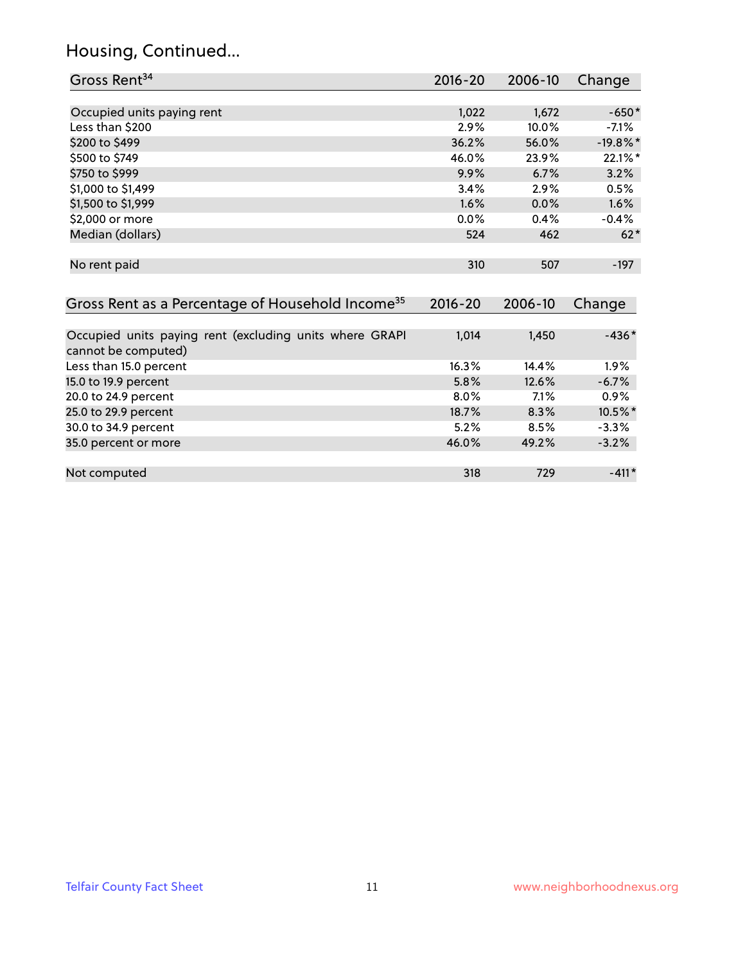# Housing, Continued...

| Gross Rent <sup>34</sup>                                                       | 2016-20     | 2006-10 | Change      |
|--------------------------------------------------------------------------------|-------------|---------|-------------|
|                                                                                |             |         |             |
| Occupied units paying rent                                                     | 1,022       | 1,672   | $-650*$     |
| Less than \$200                                                                | 2.9%        | 10.0%   | $-7.1%$     |
| \$200 to \$499                                                                 | 36.2%       | 56.0%   | $-19.8\%$ * |
| \$500 to \$749                                                                 | 46.0%       | 23.9%   | 22.1%*      |
| \$750 to \$999                                                                 | 9.9%        | 6.7%    | 3.2%        |
| \$1,000 to \$1,499                                                             | 3.4%        | 2.9%    | 0.5%        |
| \$1,500 to \$1,999                                                             | 1.6%        | 0.0%    | 1.6%        |
| \$2,000 or more                                                                | 0.0%        | 0.4%    | $-0.4%$     |
| Median (dollars)                                                               | 524         | 462     | $62*$       |
| No rent paid                                                                   | 310         | 507     | $-197$      |
| Gross Rent as a Percentage of Household Income <sup>35</sup>                   | $2016 - 20$ | 2006-10 | Change      |
|                                                                                |             |         |             |
| Occupied units paying rent (excluding units where GRAPI<br>cannot be computed) | 1,014       | 1,450   | $-436*$     |
| Less than 15.0 percent                                                         | 16.3%       | 14.4%   | 1.9%        |
| 15.0 to 19.9 percent                                                           | 5.8%        | 12.6%   | $-6.7%$     |
| 20.0 to 24.9 percent                                                           | 8.0%        | 7.1%    | $0.9\%$     |
| 25.0 to 29.9 percent                                                           | 18.7%       | 8.3%    | 10.5%*      |
| 30.0 to 34.9 percent                                                           | 5.2%        | 8.5%    | $-3.3%$     |
| 35.0 percent or more                                                           | 46.0%       | 49.2%   | $-3.2%$     |
| Not computed                                                                   | 318         | 729     | $-411*$     |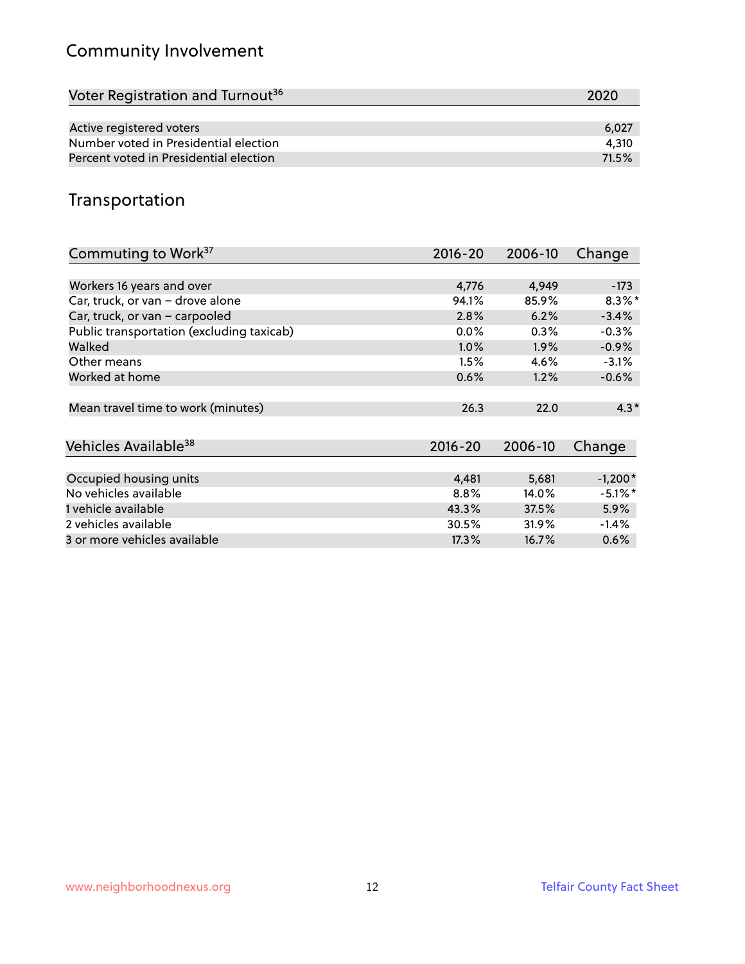# Community Involvement

| Voter Registration and Turnout <sup>36</sup> | 2020  |
|----------------------------------------------|-------|
|                                              |       |
| Active registered voters                     | 6.027 |
| Number voted in Presidential election        | 4.310 |
| Percent voted in Presidential election       | 71.5% |

### Transportation

| Commuting to Work <sup>37</sup>           | 2016-20     | 2006-10 | Change     |
|-------------------------------------------|-------------|---------|------------|
|                                           |             |         |            |
| Workers 16 years and over                 | 4,776       | 4,949   | $-173$     |
| Car, truck, or van - drove alone          | 94.1%       | 85.9%   | $8.3\%$ *  |
| Car, truck, or van - carpooled            | 2.8%        | 6.2%    | $-3.4%$    |
| Public transportation (excluding taxicab) | $0.0\%$     | $0.3\%$ | $-0.3%$    |
| Walked                                    | $1.0\%$     | $1.9\%$ | $-0.9%$    |
| Other means                               | 1.5%        | 4.6%    | $-3.1%$    |
| Worked at home                            | 0.6%        | 1.2%    | $-0.6%$    |
|                                           |             |         |            |
| Mean travel time to work (minutes)        | 26.3        | 22.0    | $4.3*$     |
|                                           |             |         |            |
| Vehicles Available <sup>38</sup>          | $2016 - 20$ | 2006-10 | Change     |
|                                           |             |         |            |
| Occupied housing units                    | 4,481       | 5,681   | $-1,200*$  |
| No vehicles available                     | 8.8%        | 14.0%   | $-5.1\%$ * |
| 1 vehicle available                       | 43.3%       | 37.5%   | 5.9%       |
| 2 vehicles available                      | 30.5%       | 31.9%   | $-1.4%$    |
| 3 or more vehicles available              | 17.3%       | 16.7%   | $0.6\%$    |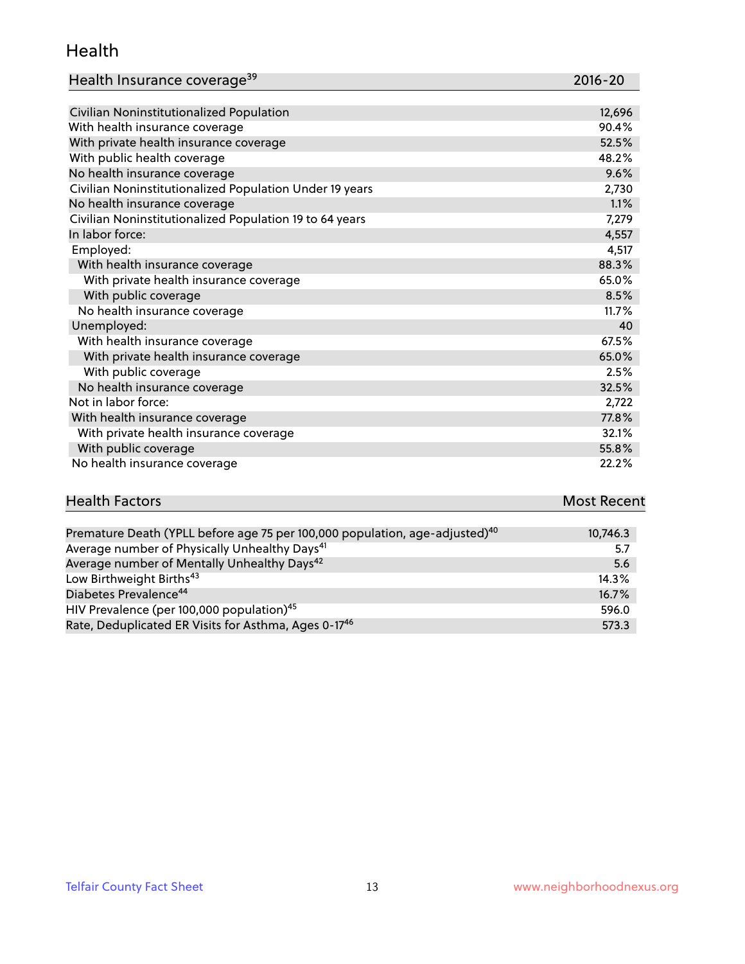#### Health

| Health Insurance coverage <sup>39</sup> | 2016-20 |
|-----------------------------------------|---------|
|-----------------------------------------|---------|

| Civilian Noninstitutionalized Population                | 12,696 |
|---------------------------------------------------------|--------|
| With health insurance coverage                          | 90.4%  |
| With private health insurance coverage                  | 52.5%  |
| With public health coverage                             | 48.2%  |
| No health insurance coverage                            | 9.6%   |
| Civilian Noninstitutionalized Population Under 19 years | 2,730  |
| No health insurance coverage                            | 1.1%   |
| Civilian Noninstitutionalized Population 19 to 64 years | 7,279  |
| In labor force:                                         | 4,557  |
| Employed:                                               | 4,517  |
| With health insurance coverage                          | 88.3%  |
| With private health insurance coverage                  | 65.0%  |
| With public coverage                                    | 8.5%   |
| No health insurance coverage                            | 11.7%  |
| Unemployed:                                             | 40     |
| With health insurance coverage                          | 67.5%  |
| With private health insurance coverage                  | 65.0%  |
| With public coverage                                    | 2.5%   |
| No health insurance coverage                            | 32.5%  |
| Not in labor force:                                     | 2,722  |
| With health insurance coverage                          | 77.8%  |
| With private health insurance coverage                  | 32.1%  |
| With public coverage                                    | 55.8%  |
| No health insurance coverage                            | 22.2%  |

# **Health Factors Most Recent** And The Control of the Control of The Control of The Control of The Control of The Control of The Control of The Control of The Control of The Control of The Control of The Control of The Contr

| Premature Death (YPLL before age 75 per 100,000 population, age-adjusted) <sup>40</sup> | 10,746.3 |
|-----------------------------------------------------------------------------------------|----------|
| Average number of Physically Unhealthy Days <sup>41</sup>                               | 5.7      |
| Average number of Mentally Unhealthy Days <sup>42</sup>                                 | 5.6      |
| Low Birthweight Births <sup>43</sup>                                                    | $14.3\%$ |
| Diabetes Prevalence <sup>44</sup>                                                       | 16.7%    |
| HIV Prevalence (per 100,000 population) <sup>45</sup>                                   | 596.0    |
| Rate, Deduplicated ER Visits for Asthma, Ages 0-17 <sup>46</sup>                        | 573.3    |